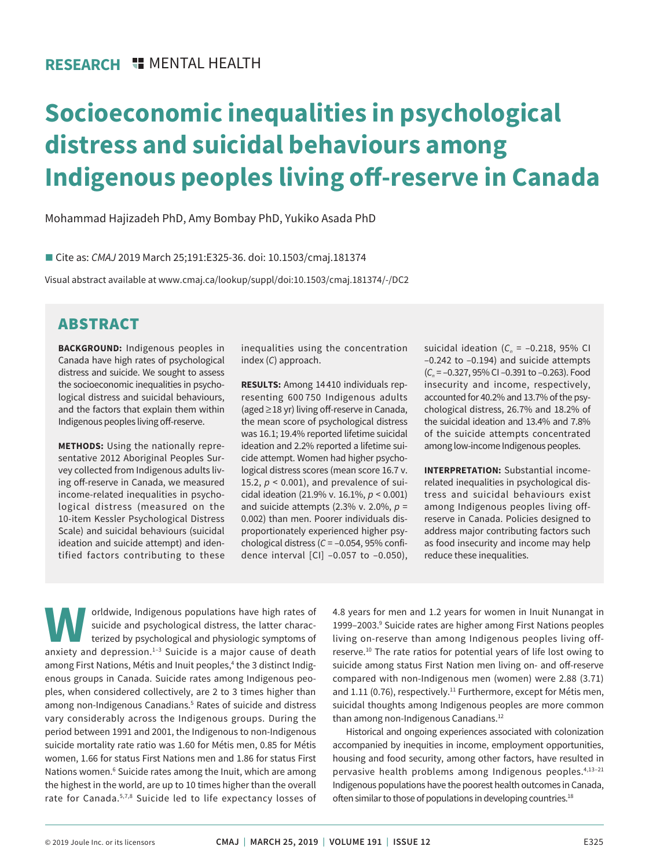# **Socioeconomic inequalities in psychological distress and suicidal behaviours among Indigenous peoples living off-reserve in Canada**

Mohammad Hajizadeh PhD, Amy Bombay PhD, Yukiko Asada PhD

■ Cite as: *CMAJ* 2019 March 25;191:E325-36. doi: 10.1503/cmaj.181374

Visual abstract available at www.cmaj.ca/lookup/suppl/doi:10.1503/cmaj.181374/-/DC2

## ABSTRACT

**BACKGROUND:** Indigenous peoples in Canada have high rates of psychological distress and suicide. We sought to assess the socioeconomic inequalities in psychological distress and suicidal behaviours, and the factors that explain them within Indigenous peoples living off-reserve.

**METHODS:** Using the nationally representative 2012 Aboriginal Peoples Survey collected from Indigenous adults living off-reserve in Canada, we measured income-related inequalities in psychological distress (measured on the 10-item Kessler Psychological Distress Scale) and suicidal behaviours (suicidal ideation and suicide attempt) and identified factors contributing to these

inequalities using the concentration index (*C*) approach.

**RESULTS:** Among 14 410 individuals representing 600 750 Indigenous adults (aged ≥ 18 yr) living off-reserve in Canada, the mean score of psychological distress was 16.1; 19.4% reported lifetime suicidal ideation and 2.2% reported a lifetime suicide attempt. Women had higher psychological distress scores (mean score 16.7 v. 15.2,  $p < 0.001$ ), and prevalence of suicidal ideation (21.9% v. 16.1%, *p* < 0.001) and suicide attempts (2.3% v. 2.0%, *p* = 0.002) than men. Poorer individuals disproportionately experienced higher psychological distress (*C* = –0.054, 95% confidence interval [CI] –0.057 to –0.050), suicidal ideation  $(C_n = -0.218, 95\%$  CI –0.242 to –0.194) and suicide attempts (*Cn* = –0.327, 95% CI –0.391 to –0.263). Food insecurity and income, respectively, accounted for 40.2% and 13.7% of the psychological distress, 26.7% and 18.2% of the suicidal ideation and 13.4% and 7.8% of the suicide attempts concentrated among low-income Indigenous peoples.

**INTERPRETATION:** Substantial incomerelated inequalities in psychological distress and suicidal behaviours exist among Indigenous peoples living offreserve in Canada. Policies designed to address major contributing factors such as food insecurity and income may help reduce these inequalities.

**WAOR**orldwide, Indigenous populations have high rates of suicide and psychological distress, the latter characterized by psychological and physiologic symptoms of anxiety and depression.<sup>1-3</sup> Suicide is a major cause of d suicide and psychological distress, the latter characterized by psychological and physiologic symptoms of among First Nations, Métis and Inuit peoples,<sup>4</sup> the 3 distinct Indigenous groups in Canada. Suicide rates among Indigenous peoples, when considered collectively, are 2 to 3 times higher than among non-Indigenous Canadians.<sup>5</sup> Rates of suicide and distress vary considerably across the Indigenous groups. During the period between 1991 and 2001, the Indigenous to non-Indigenous suicide mortality rate ratio was 1.60 for Métis men, 0.85 for Métis women, 1.66 for status First Nations men and 1.86 for status First Nations women.<sup>6</sup> Suicide rates among the Inuit, which are among the highest in the world, are up to 10 times higher than the overall rate for Canada.5,7,8 Suicide led to life expectancy losses of

4.8 years for men and 1.2 years for women in Inuit Nunangat in 1999–2003.<sup>9</sup> Suicide rates are higher among First Nations peoples living on-reserve than among Indigenous peoples living offreserve.<sup>10</sup> The rate ratios for potential years of life lost owing to suicide among status First Nation men living on- and off-reserve compared with non-Indigenous men (women) were 2.88 (3.71) and 1.11 (0.76), respectively.<sup>11</sup> Furthermore, except for Métis men, suicidal thoughts among Indigenous peoples are more common than among non-Indigenous Canadians.<sup>12</sup>

Historical and ongoing experiences associated with colonization accompanied by inequities in income, employment opportunities, housing and food security, among other factors, have resulted in pervasive health problems among Indigenous peoples.4,13–21 Indigenous populations have the poorest health outcomes in Canada, often similar to those of populations in developing countries.<sup>18</sup>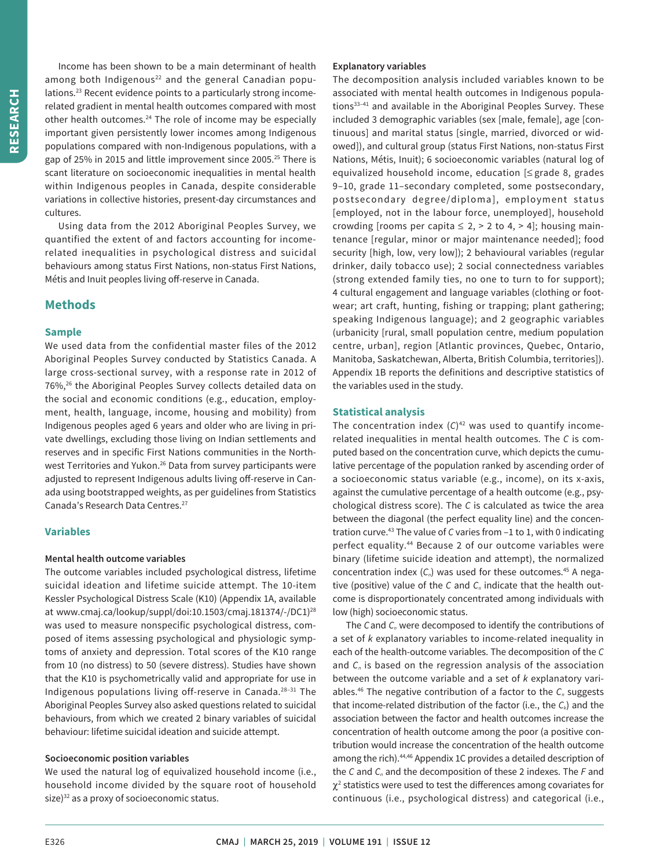Income has been shown to be a main determinant of health among both Indigenous<sup>22</sup> and the general Canadian populations.23 Recent evidence points to a particularly strong incomerelated gradient in mental health outcomes compared with most other health outcomes.<sup>24</sup> The role of income may be especially important given persistently lower incomes among Indigenous populations compared with non-Indigenous populations, with a gap of 25% in 2015 and little improvement since 2005.25 There is scant literature on socioeconomic inequalities in mental health within Indigenous peoples in Canada, despite considerable variations in collective histories, present-day circumstances and cultures.

Using data from the 2012 Aboriginal Peoples Survey, we quantified the extent of and factors accounting for incomerelated inequalities in psychological distress and suicidal behaviours among status First Nations, non-status First Nations, Métis and Inuit peoples living off-reserve in Canada.

## **Methods**

## **Sample**

We used data from the confidential master files of the 2012 Aboriginal Peoples Survey conducted by Statistics Canada. A large cross-sectional survey, with a response rate in 2012 of 76%,<sup>26</sup> the Aboriginal Peoples Survey collects detailed data on the social and economic conditions (e.g., education, employment, health, language, income, housing and mobility) from Indigenous peoples aged 6 years and older who are living in private dwellings, excluding those living on Indian settlements and reserves and in specific First Nations communities in the Northwest Territories and Yukon.<sup>26</sup> Data from survey participants were adjusted to represent Indigenous adults living off-reserve in Canada using bootstrapped weights, as per guidelines from Statistics Canada's Research Data Centres.27

## **Variables**

#### **Mental health outcome variables**

The outcome variables included psychological distress, lifetime suicidal ideation and lifetime suicide attempt. The 10-item Kessler Psychological Distress Scale (K10) (Appendix 1A, available at www.cmaj.ca/lookup/suppl/doi:10.1503/cmaj.181374/-/DC1) 28 was used to measure nonspecific psychological distress, composed of items assessing psychological and physiologic symptoms of anxiety and depression. Total scores of the K10 range from 10 (no distress) to 50 (severe distress). Studies have shown that the K10 is psychometrically valid and appropriate for use in Indigenous populations living off-reserve in Canada.28–31 The Aboriginal Peoples Survey also asked questions related to suicidal behaviours, from which we created 2 binary variables of suicidal behaviour: lifetime suicidal ideation and suicide attempt.

## **Socioeconomic position variables**

We used the natural log of equivalized household income (i.e., household income divided by the square root of household  $size)^{32}$  as a proxy of socioeconomic status.

## **Explanatory variables**

The decomposition analysis included variables known to be associated with mental health outcomes in Indigenous populations<sup>33-41</sup> and available in the Aboriginal Peoples Survey. These included 3 demographic variables (sex [male, female], age [continuous] and marital status [single, married, divorced or widowed]), and cultural group (status First Nations, non-status First Nations, Métis, Inuit); 6 socioeconomic variables (natural log of equivalized household income, education [≤ grade 8, grades 9–10, grade 11–secondary completed, some postsecondary, postsecondary degree/diploma], employment status [employed, not in the labour force, unemployed], household crowding [rooms per capita  $\leq 2$ ,  $> 2$  to 4,  $> 4$ ]; housing maintenance [regular, minor or major maintenance needed]; food security [high, low, very low]); 2 behavioural variables (regular drinker, daily tobacco use); 2 social connectedness variables (strong extended family ties, no one to turn to for support); 4 cultural engagement and language variables (clothing or footwear; art craft, hunting, fishing or trapping; plant gathering; speaking Indigenous language); and 2 geographic variables (urbanicity [rural, small population centre, medium population centre, urban], region [Atlantic provinces, Quebec, Ontario, Manitoba, Saskatchewan, Alberta, British Columbia, territories]). Appendix 1B reports the definitions and descriptive statistics of the variables used in the study.

## **Statistical analysis**

The concentration index  $(C)^{42}$  was used to quantify incomerelated inequalities in mental health outcomes. The *C* is computed based on the concentration curve, which depicts the cumulative percentage of the population ranked by ascending order of a socioeconomic status variable (e.g., income), on its x-axis, against the cumulative percentage of a health outcome (e.g., psychological distress score). The *C* is calculated as twice the area between the diagonal (the perfect equality line) and the concentration curve.43 The value of *C* varies from –1 to 1, with 0 indicating perfect equality.44 Because 2 of our outcome variables were binary (lifetime suicide ideation and attempt), the normalized concentration index  $(C_n)$  was used for these outcomes.<sup>45</sup> A negative (positive) value of the *C* and *C<sub>n</sub>* indicate that the health outcome is disproportionately concentrated among individuals with low (high) socioeconomic status.

The *C* and *C<sub>n</sub>* were decomposed to identify the contributions of a set of *k* explanatory variables to income-related inequality in each of the health-outcome variables. The decomposition of the *C* and C<sub>n</sub> is based on the regression analysis of the association between the outcome variable and a set of *k* explanatory variables.<sup>46</sup> The negative contribution of a factor to the C<sub>n</sub> suggests that income-related distribution of the factor (i.e., the  $C_k$ ) and the association between the factor and health outcomes increase the concentration of health outcome among the poor (a positive contribution would increase the concentration of the health outcome among the rich).<sup>44,46</sup> Appendix 1C provides a detailed description of the *C* and *C<sub>n</sub>* and the decomposition of these 2 indexes. The *F* and  $\chi^2$  statistics were used to test the differences among covariates for continuous (i.e., psychological distress) and categorical (i.e.,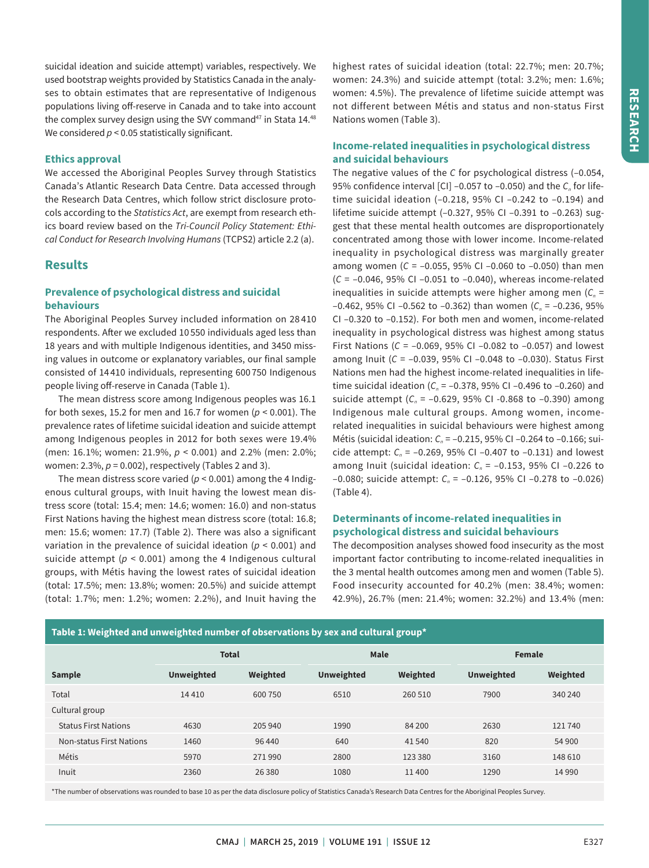suicidal ideation and suicide attempt) variables, respectively. We used bootstrap weights provided by Statistics Canada in the analyses to obtain estimates that are representative of Indigenous populations living off-reserve in Canada and to take into account the complex survey design using the SVY command $47$  in Stata 14. $48$ We considered  $p < 0.05$  statistically significant.

## **Ethics approval**

We accessed the Aboriginal Peoples Survey through Statistics Canada's Atlantic Research Data Centre. Data accessed through the Research Data Centres, which follow strict disclosure protocols according to the *Statistics Act*, are exempt from research ethics board review based on the *Tri-Council Policy Statement: Ethical Conduct for Research Involving Humans* (TCPS2) article 2.2 (a).

## **Results**

## **Prevalence of psychological distress and suicidal behaviours**

The Aboriginal Peoples Survey included information on 28 410 respondents. After we excluded 10 550 individuals aged less than 18 years and with multiple Indigenous identities, and 3450 missing values in outcome or explanatory variables, our final sample consisted of 14 410 individuals, representing 600 750 Indigenous people living off-reserve in Canada (Table 1).

The mean distress score among Indigenous peoples was 16.1 for both sexes, 15.2 for men and 16.7 for women (*p* < 0.001). The prevalence rates of lifetime suicidal ideation and suicide attempt among Indigenous peoples in 2012 for both sexes were 19.4% (men: 16.1%; women: 21.9%, *p* < 0.001) and 2.2% (men: 2.0%; women: 2.3%, *p* = 0.002), respectively (Tables 2 and 3).

The mean distress score varied ( $p < 0.001$ ) among the 4 Indigenous cultural groups, with Inuit having the lowest mean distress score (total: 15.4; men: 14.6; women: 16.0) and non-status First Nations having the highest mean distress score (total: 16.8; men: 15.6; women: 17.7) (Table 2). There was also a significant variation in the prevalence of suicidal ideation (*p* < 0.001) and suicide attempt ( $p < 0.001$ ) among the 4 Indigenous cultural groups, with Métis having the lowest rates of suicidal ideation (total: 17.5%; men: 13.8%; women: 20.5%) and suicide attempt (total: 1.7%; men: 1.2%; women: 2.2%), and Inuit having the

highest rates of suicidal ideation (total: 22.7%; men: 20.7%; women: 24.3%) and suicide attempt (total: 3.2%; men: 1.6%; women: 4.5%). The prevalence of lifetime suicide attempt was not different between Métis and status and non-status First Nations women (Table 3).

## **Income-related inequalities in psychological distress and suicidal behaviours**

The negative values of the *C* for psychological distress (–0.054, 95% confidence interval [CI] -0.057 to -0.050) and the *C<sub>n</sub>* for lifetime suicidal ideation (–0.218, 95% CI –0.242 to –0.194) and lifetime suicide attempt (–0.327, 95% CI –0.391 to –0.263) suggest that these mental health outcomes are disproportionately concentrated among those with lower income. Income-related inequality in psychological distress was marginally greater among women (*C* = –0.055, 95% CI –0.060 to –0.050) than men (*C* = –0.046, 95% CI –0.051 to –0.040), whereas income-related inequalities in suicide attempts were higher among men (C<sub>n</sub> =  $-0.462$ , 95% CI  $-0.562$  to  $-0.362$ ) than women ( $C_n = -0.236$ , 95% CI –0.320 to –0.152). For both men and women, income-related inequality in psychological distress was highest among status First Nations (*C* = –0.069, 95% CI –0.082 to –0.057) and lowest among Inuit (*C* = –0.039, 95% CI –0.048 to –0.030). Status First Nations men had the highest income-related inequalities in lifetime suicidal ideation ( $C_n$  = -0.378, 95% CI -0.496 to -0.260) and suicide attempt (C<sub>n</sub> = -0.629, 95% CI -0.868 to -0.390) among Indigenous male cultural groups. Among women, incomerelated inequalities in suicidal behaviours were highest among Métis (suicidal ideation: C<sub>n</sub> = -0.215, 95% CI -0.264 to -0.166; suicide attempt:  $C_n = -0.269$ , 95% CI  $-0.407$  to  $-0.131$ ) and lowest among Inuit (suicidal ideation: C<sub>n</sub> = -0.153, 95% CI -0.226 to  $-0.080$ ; suicide attempt:  $C_n = -0.126$ , 95% CI  $-0.278$  to  $-0.026$ ) (Table 4).

## **Determinants of income-related inequalities in psychological distress and suicidal behaviours**

The decomposition analyses showed food insecurity as the most important factor contributing to income-related inequalities in the 3 mental health outcomes among men and women (Table 5). Food insecurity accounted for 40.2% (men: 38.4%; women: 42.9%), 26.7% (men: 21.4%; women: 32.2%) and 13.4% (men:

| Table 1: Weighted and unweighted number of observations by sex and cultural group* |                   |          |                   |          |                   |          |  |  |  |  |  |
|------------------------------------------------------------------------------------|-------------------|----------|-------------------|----------|-------------------|----------|--|--|--|--|--|
|                                                                                    | <b>Total</b>      |          | <b>Male</b>       |          | Female            |          |  |  |  |  |  |
| <b>Sample</b>                                                                      | <b>Unweighted</b> | Weighted | <b>Unweighted</b> | Weighted | <b>Unweighted</b> | Weighted |  |  |  |  |  |
| Total                                                                              | 14410             | 600 750  | 6510              | 260 510  | 7900              | 340 240  |  |  |  |  |  |
| Cultural group                                                                     |                   |          |                   |          |                   |          |  |  |  |  |  |
| <b>Status First Nations</b>                                                        | 4630              | 205 940  | 1990              | 84 200   | 2630              | 121740   |  |  |  |  |  |
| <b>Non-status First Nations</b>                                                    | 1460              | 96 440   | 640               | 41540    | 820               | 54 900   |  |  |  |  |  |
| Métis                                                                              | 5970              | 271990   | 2800              | 123 380  | 3160              | 148 610  |  |  |  |  |  |
| Inuit                                                                              | 2360              | 26 3 80  | 1080              | 11400    | 1290              | 14 9 90  |  |  |  |  |  |

\*The number of observations was rounded to base 10 as per the data disclosure policy of Statistics Canada's Research Data Centres for the Aboriginal Peoples Survey.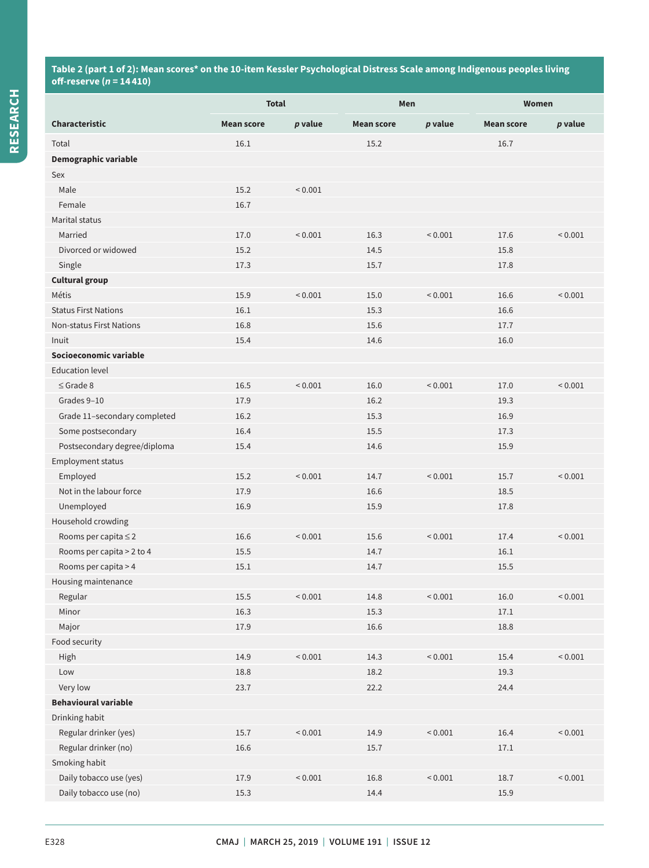## **Table 2 (part 1 of 2): Mean scores\* on the 10-item Kessler Psychological Distress Scale among Indigenous peoples living off-reserve (***n* **= 14 410)**

|                                 | <b>Total</b>      |                | Men               |                | Women             |                |  |
|---------------------------------|-------------------|----------------|-------------------|----------------|-------------------|----------------|--|
| <b>Characteristic</b>           | <b>Mean score</b> | p value        | <b>Mean score</b> | p value        | <b>Mean score</b> | p value        |  |
| Total                           | 16.1              |                | 15.2              |                | 16.7              |                |  |
| Demographic variable            |                   |                |                   |                |                   |                |  |
| Sex                             |                   |                |                   |                |                   |                |  |
| Male                            | 15.2              | ${}_{0.001}$   |                   |                |                   |                |  |
| Female                          | 16.7              |                |                   |                |                   |                |  |
| Marital status                  |                   |                |                   |                |                   |                |  |
| Married                         | 17.0              | ${}_{0.001}$   | 16.3              | ${}_{0.001}$   | 17.6              | < 0.001        |  |
| Divorced or widowed             | 15.2              |                | 14.5              |                | 15.8              |                |  |
| Single                          | 17.3              |                | 15.7              |                | 17.8              |                |  |
| <b>Cultural group</b>           |                   |                |                   |                |                   |                |  |
| Métis                           | 15.9              | ${}_{0.001}$   | 15.0              | ${}_{0.001}$   | 16.6              | ${}_{0.001}$   |  |
| <b>Status First Nations</b>     | 16.1              |                | 15.3              |                | 16.6              |                |  |
| <b>Non-status First Nations</b> | 16.8              |                | 15.6              |                | 17.7              |                |  |
| Inuit                           | 15.4              |                | 14.6              |                | 16.0              |                |  |
| Socioeconomic variable          |                   |                |                   |                |                   |                |  |
| <b>Education level</b>          |                   |                |                   |                |                   |                |  |
| $\leq$ Grade 8                  | 16.5              | ${}_{0.001}$   | 16.0              | ${}< 0.001$    | 17.0              | ${}_{0.001}$   |  |
| Grades 9-10                     | 17.9              |                | 16.2              |                | 19.3              |                |  |
| Grade 11-secondary completed    | 16.2              |                | 15.3              |                | 16.9              |                |  |
| Some postsecondary              | 16.4              |                | 15.5              |                | 17.3              |                |  |
| Postsecondary degree/diploma    | 15.4              |                | 14.6              |                | 15.9              |                |  |
| <b>Employment status</b>        |                   |                |                   |                |                   |                |  |
| Employed                        | 15.2              | ${}< 0.001$    | 14.7              | ${}_{0.001}$   | 15.7              | ${}_{0.001}$   |  |
| Not in the labour force         | 17.9              |                | 16.6              |                | 18.5              |                |  |
| Unemployed                      | 16.9              |                | 15.9              |                | 17.8              |                |  |
| Household crowding              |                   |                |                   |                |                   |                |  |
| Rooms per capita ≤ 2            | 16.6              | ${}_{0.001}$   | 15.6              | ${}_{0.001}$   | 17.4              | ${}_{0.001}$   |  |
| Rooms per capita > 2 to 4       | 15.5              |                | 14.7              |                | 16.1              |                |  |
| Rooms per capita > 4            | 15.1              |                | 14.7              |                | 15.5              |                |  |
| Housing maintenance<br>Regular  | $15.5\,$          | ${}_{< 0.001}$ | 14.8              | ${}_{< 0.001}$ | 16.0              | ${}_{< 0.001}$ |  |
| Minor                           | $16.3\,$          |                | 15.3              |                | 17.1              |                |  |
| Major                           | 17.9              |                | $16.6\,$          |                | 18.8              |                |  |
| Food security                   |                   |                |                   |                |                   |                |  |
| High                            | 14.9              | ${}_{< 0.001}$ | 14.3              | < 0.001        | 15.4              | ${}_{0.001}$   |  |
| Low                             | 18.8              |                | 18.2              |                | 19.3              |                |  |
| Very low                        | 23.7              |                | 22.2              |                | 24.4              |                |  |
| <b>Behavioural variable</b>     |                   |                |                   |                |                   |                |  |
| Drinking habit                  |                   |                |                   |                |                   |                |  |
| Regular drinker (yes)           | 15.7              | ${}_{< 0.001}$ | 14.9              | ${}_{< 0.001}$ | $16.4\,$          | ${}_{0.001}$   |  |
| Regular drinker (no)            | 16.6              |                | 15.7              |                | 17.1              |                |  |
| Smoking habit                   |                   |                |                   |                |                   |                |  |
| Daily tobacco use (yes)         | 17.9              | ${}_{< 0.001}$ | 16.8              | ${}_{< 0.001}$ | 18.7              | ${}_{< 0.001}$ |  |
| Daily tobacco use (no)          | 15.3              |                | 14.4              |                | 15.9              |                |  |
|                                 |                   |                |                   |                |                   |                |  |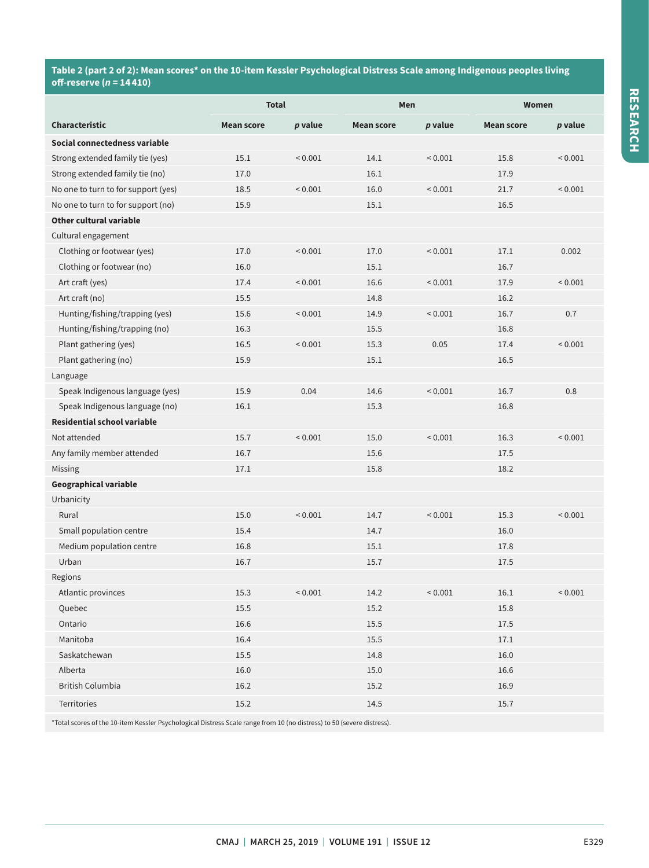## **Table 2 (part 2 of 2): Mean scores\* on the 10-item Kessler Psychological Distress Scale among Indigenous peoples living off-reserve (***n* **= 14 410)**

|                                     | <b>Total</b>      |              | Men               |              | <b>Women</b>      |              |  |
|-------------------------------------|-------------------|--------------|-------------------|--------------|-------------------|--------------|--|
| <b>Characteristic</b>               | <b>Mean score</b> | p value      | <b>Mean score</b> | p value      | <b>Mean score</b> | p value      |  |
| Social connectedness variable       |                   |              |                   |              |                   |              |  |
| Strong extended family tie (yes)    | 15.1              | ${}_{0.001}$ | 14.1              | ${}_{0.001}$ | 15.8              | ${}_{0.001}$ |  |
| Strong extended family tie (no)     | 17.0              |              | 16.1              |              | 17.9              |              |  |
| No one to turn to for support (yes) | 18.5              | ${}< 0.001$  | 16.0              | ${}< 0.001$  | 21.7              | ${}_{0.001}$ |  |
| No one to turn to for support (no)  | 15.9              |              | 15.1              |              | 16.5              |              |  |
| Other cultural variable             |                   |              |                   |              |                   |              |  |
| Cultural engagement                 |                   |              |                   |              |                   |              |  |
| Clothing or footwear (yes)          | 17.0              | ${}_{0.001}$ | 17.0              | ${}< 0.001$  | 17.1              | 0.002        |  |
| Clothing or footwear (no)           | 16.0              |              | 15.1              |              | 16.7              |              |  |
| Art craft (yes)                     | 17.4              | ${}_{0.001}$ | 16.6              | < 0.001      | 17.9              | ${}< 0.001$  |  |
| Art craft (no)                      | 15.5              |              | 14.8              |              | 16.2              |              |  |
| Hunting/fishing/trapping (yes)      | 15.6              | ${}_{0.001}$ | 14.9              | ${}_{0.001}$ | 16.7              | 0.7          |  |
| Hunting/fishing/trapping (no)       | 16.3              |              | 15.5              |              | 16.8              |              |  |
| Plant gathering (yes)               | 16.5              | ${}_{0.001}$ | 15.3              | 0.05         | 17.4              | ${}_{0.001}$ |  |
| Plant gathering (no)                | 15.9              |              | 15.1              |              | 16.5              |              |  |
| Language                            |                   |              |                   |              |                   |              |  |
| Speak Indigenous language (yes)     | 15.9              | 0.04         | 14.6              | ${}< 0.001$  | 16.7              | 0.8          |  |
| Speak Indigenous language (no)      | 16.1              |              | 15.3              |              | 16.8              |              |  |
| Residential school variable         |                   |              |                   |              |                   |              |  |
| Not attended                        | 15.7              | ${}_{0.001}$ | 15.0              | ${}_{0.001}$ | 16.3              | ${}_{0.001}$ |  |
| Any family member attended          | 16.7              |              | 15.6              |              | 17.5              |              |  |
| Missing                             | 17.1              |              | 15.8              |              | 18.2              |              |  |
| <b>Geographical variable</b>        |                   |              |                   |              |                   |              |  |
| Urbanicity                          |                   |              |                   |              |                   |              |  |
| Rural                               | 15.0              | ${}< 0.001$  | 14.7              | ${}_{0.001}$ | 15.3              | ${}_{0.001}$ |  |
| Small population centre             | 15.4              |              | 14.7              |              | 16.0              |              |  |
| Medium population centre            | 16.8              |              | 15.1              |              | 17.8              |              |  |
| Urban                               | 16.7              |              | 15.7              |              | 17.5              |              |  |
| Regions                             |                   |              |                   |              |                   |              |  |
| Atlantic provinces                  | 15.3              | ${}_{0.001}$ | 14.2              | ${}_{0.001}$ | 16.1              | < 0.001      |  |
| Quebec                              | 15.5              |              | 15.2              |              | 15.8              |              |  |
| Ontario                             | $16.6\,$          |              | $15.5\,$          |              | $17.5\,$          |              |  |
| Manitoba                            | 16.4              |              | $15.5\,$          |              | 17.1              |              |  |
| Saskatchewan                        | $15.5\,$          |              | 14.8              |              | 16.0              |              |  |
| Alberta                             | 16.0              |              | $15.0\,$          |              | 16.6              |              |  |
| <b>British Columbia</b>             | 16.2              |              | 15.2              |              | 16.9              |              |  |
| Territories                         | 15.2              |              | 14.5              |              | 15.7              |              |  |

\*Total scores of the 10-item Kessler Psychological Distress Scale range from 10 (no distress) to 50 (severe distress).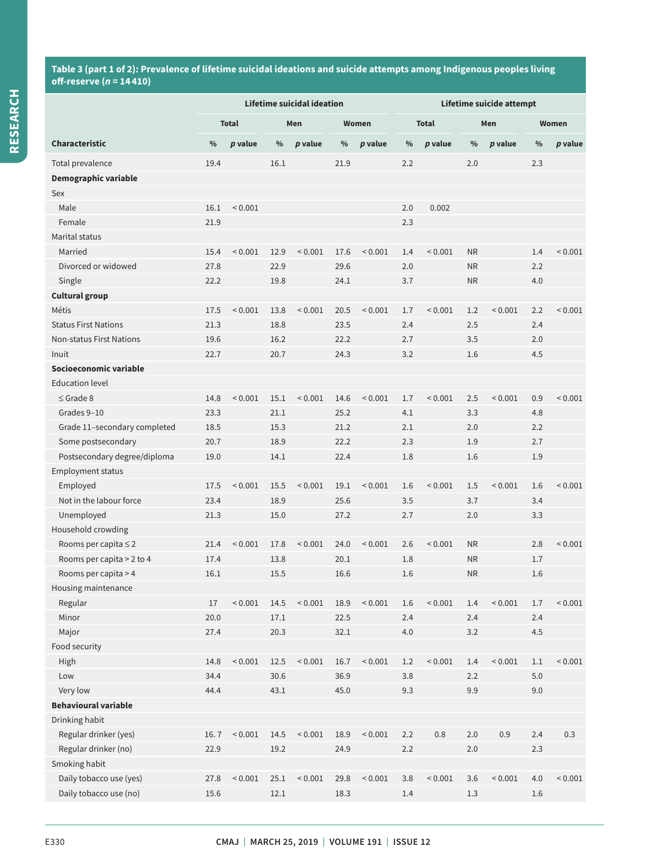## **Table 3 (part 1 of 2): Prevalence of lifetime suicidal ideations and suicide attempts among Indigenous peoples living off-reserve (***n* **= 14 410)**

|                                 | Lifetime suicidal ideation |                |      |              |      | Lifetime suicide attempt |                     |                |           |                |         |              |
|---------------------------------|----------------------------|----------------|------|--------------|------|--------------------------|---------------------|----------------|-----------|----------------|---------|--------------|
|                                 |                            | <b>Total</b>   |      | Men          |      | Women                    | <b>Total</b><br>Men |                |           |                | Women   |              |
| <b>Characteristic</b>           | $\%$                       | p value        | $\%$ | p value      | $\%$ | p value                  | $\%$                | p value        | $\%$      | $p$ value      | $\%$    | p value      |
| Total prevalence                | 19.4                       |                | 16.1 |              | 21.9 |                          | 2.2                 |                | 2.0       |                | 2.3     |              |
| Demographic variable            |                            |                |      |              |      |                          |                     |                |           |                |         |              |
| Sex                             |                            |                |      |              |      |                          |                     |                |           |                |         |              |
| Male                            | 16.1                       | ${}_{0.001}$   |      |              |      |                          | 2.0                 | 0.002          |           |                |         |              |
| Female                          | 21.9                       |                |      |              |      |                          | 2.3                 |                |           |                |         |              |
| Marital status                  |                            |                |      |              |      |                          |                     |                |           |                |         |              |
| Married                         | 15.4                       | < 0.001        | 12.9 | < 0.001      | 17.6 | ${}< 0.001$              | 1.4                 | ${}< 0.001$    | <b>NR</b> |                | 1.4     | < 0.001      |
| Divorced or widowed             | 27.8                       |                | 22.9 |              | 29.6 |                          | 2.0                 |                | <b>NR</b> |                | 2.2     |              |
| Single                          | 22.2                       |                | 19.8 |              | 24.1 |                          | 3.7                 |                | NR        |                | 4.0     |              |
| <b>Cultural group</b>           |                            |                |      |              |      |                          |                     |                |           |                |         |              |
| Métis                           | 17.5                       | < 0.001        | 13.8 | < 0.001      | 20.5 | ${}< 0.001$              | 1.7                 | ${}< 0.001$    | 1.2       | ${}_{0.001}$   | 2.2     | ${}_{0.001}$ |
| <b>Status First Nations</b>     | 21.3                       |                | 18.8 |              | 23.5 |                          | 2.4                 |                | 2.5       |                | 2.4     |              |
| <b>Non-status First Nations</b> | 19.6                       |                | 16.2 |              | 22.2 |                          | 2.7                 |                | 3.5       |                | 2.0     |              |
| Inuit                           | 22.7                       |                | 20.7 |              | 24.3 |                          | 3.2                 |                | 1.6       |                | 4.5     |              |
| Socioeconomic variable          |                            |                |      |              |      |                          |                     |                |           |                |         |              |
| <b>Education level</b>          |                            |                |      |              |      |                          |                     |                |           |                |         |              |
| $\le$ Grade 8                   | 14.8                       | < 0.001        | 15.1 | ${}_{0.001}$ | 14.6 | ${}< 0.001$              | 1.7                 | < 0.001        | 2.5       | ${}_{0.001}$   | 0.9     | < 0.001      |
| Grades 9-10                     | 23.3                       |                | 21.1 |              | 25.2 |                          | 4.1                 |                | 3.3       |                | 4.8     |              |
| Grade 11-secondary completed    | 18.5                       |                | 15.3 |              | 21.2 |                          | 2.1                 |                | 2.0       |                | 2.2     |              |
| Some postsecondary              | 20.7                       |                | 18.9 |              | 22.2 |                          | 2.3                 |                | 1.9       |                | 2.7     |              |
| Postsecondary degree/diploma    | 19.0                       |                | 14.1 |              | 22.4 |                          | 1.8                 |                | 1.6       |                | 1.9     |              |
| <b>Employment status</b>        |                            |                |      |              |      |                          |                     |                |           |                |         |              |
| Employed                        | 17.5                       | < 0.001        | 15.5 | ${}_{0.001}$ | 19.1 | ${}_{0.001}$             | 1.6                 | < 0.001        | 1.5       | ${}_{0.001}$   | 1.6     | < 0.001      |
| Not in the labour force         | 23.4                       |                | 18.9 |              | 25.6 |                          | 3.5                 |                | 3.7       |                | 3.4     |              |
| Unemployed                      | 21.3                       |                | 15.0 |              | 27.2 |                          | 2.7                 |                | 2.0       |                | 3.3     |              |
| Household crowding              |                            |                |      |              |      |                          |                     |                |           |                |         |              |
| Rooms per capita $\leq$ 2       | 21.4                       | < 0.001        | 17.8 | ${}_{0.001}$ | 24.0 | ${}< 0.001$              | 2.6                 | ${}_{0.001}$   | <b>NR</b> |                | 2.8     | ${}< 0.001$  |
| Rooms per capita > 2 to 4       | 17.4                       |                | 13.8 |              | 20.1 |                          | 1.8                 |                | NR        |                | 1.7     |              |
| Rooms per capita > 4            | 16.1                       |                | 15.5 |              | 16.6 |                          | 1.6                 |                | <b>NR</b> |                | 1.6     |              |
| Housing maintenance             |                            |                |      |              |      |                          |                     |                |           |                |         |              |
| Regular                         | 17                         | ${}_{0.001}$   | 14.5 | ${}_{0.001}$ | 18.9 | ${}_{0.001}$             | 1.6                 | ${}_{0.001}$   | 1.4       | ${}_{0.001}$   | 1.7     | ${}_{0.001}$ |
| Minor                           | 20.0                       |                | 17.1 |              | 22.5 |                          | 2.4                 |                | 2.4       |                | 2.4     |              |
| Major                           | 27.4                       |                | 20.3 |              | 32.1 |                          | $4.0\,$             |                | $3.2\,$   |                | 4.5     |              |
| Food security                   |                            |                |      |              |      |                          |                     |                |           |                |         |              |
| High                            | 14.8                       | ${}_{0.001}$   | 12.5 | ${}_{0.001}$ | 16.7 | ${}_{< 0.001}$           | 1.2                 | ${}_{0.001}$   | 1.4       | ${}_{< 0.001}$ | $1.1\,$ | ~< 0.001     |
| Low                             | 34.4                       |                | 30.6 |              | 36.9 |                          | 3.8                 |                | 2.2       |                | 5.0     |              |
| Very low                        | 44.4                       |                | 43.1 |              | 45.0 |                          | 9.3                 |                | 9.9       |                | 9.0     |              |
| <b>Behavioural variable</b>     |                            |                |      |              |      |                          |                     |                |           |                |         |              |
| Drinking habit                  |                            |                |      |              |      |                          |                     |                |           |                |         |              |
| Regular drinker (yes)           | 16.7                       | ${}_{0.001}$   | 14.5 | ${}_{0.001}$ | 18.9 | ${}_{< 0.001}$           | 2.2                 | $0.8\,$        | $2.0\,$   | 0.9            | 2.4     | 0.3          |
| Regular drinker (no)            | 22.9                       |                | 19.2 |              | 24.9 |                          | 2.2                 |                | 2.0       |                | 2.3     |              |
| Smoking habit                   |                            |                |      |              |      |                          |                     |                |           |                |         |              |
| Daily tobacco use (yes)         | 27.8                       | ${}_{< 0.001}$ | 25.1 | ${}_{0.001}$ | 29.8 | ${}_{< 0.001}$           | 3.8                 | ${}_{< 0.001}$ | 3.6       | ${}_{< 0.001}$ | 4.0     | ${}_{0.001}$ |
| Daily tobacco use (no)          | 15.6                       |                | 12.1 |              | 18.3 |                          | 1.4                 |                | 1.3       |                | 1.6     |              |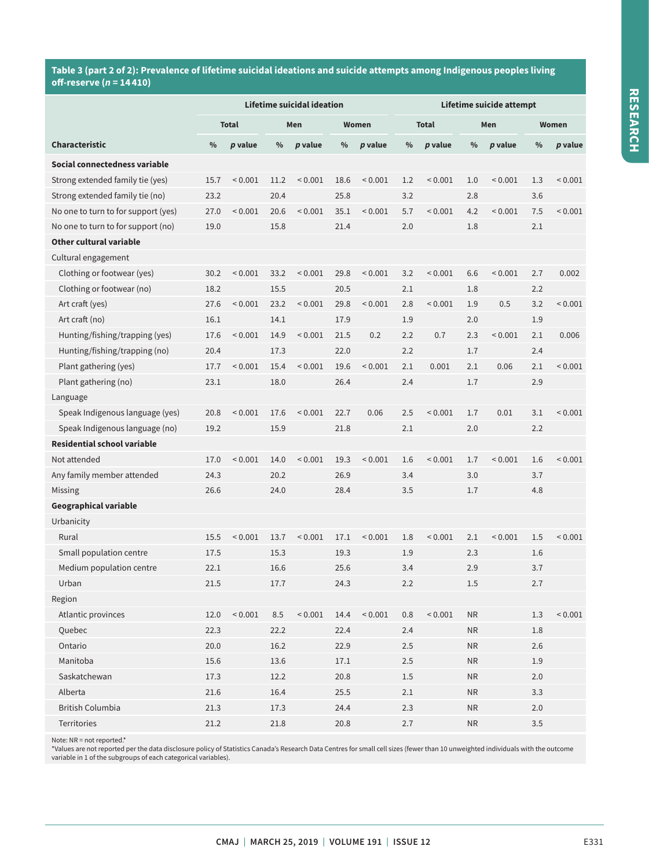## **Table 3 (part 2 of 2): Prevalence of lifetime suicidal ideations and suicide attempts among Indigenous peoples living off-reserve (***n* **= 14 410)**

|                                     | Lifetime suicidal ideation |              |      |              |               | Lifetime suicide attempt |      |                |               |              |               |                |
|-------------------------------------|----------------------------|--------------|------|--------------|---------------|--------------------------|------|----------------|---------------|--------------|---------------|----------------|
|                                     | <b>Total</b>               |              |      | Men          |               | Women                    |      | <b>Total</b>   |               | Men          |               | Women          |
| Characteristic                      | $\frac{0}{0}$              | p value      | $\%$ | $p$ value    | $\frac{0}{0}$ | p value                  | $\%$ | $p$ value      | $\frac{0}{0}$ | $p$ value    | $\frac{0}{0}$ | $p$ value      |
| Social connectedness variable       |                            |              |      |              |               |                          |      |                |               |              |               |                |
| Strong extended family tie (yes)    | 15.7                       | < 0.001      | 11.2 | < 0.001      | 18.6          | ${}< 0.001$              | 1.2  | < 0.001        | 1.0           | < 0.001      | 1.3           | < 0.001        |
| Strong extended family tie (no)     | 23.2                       |              | 20.4 |              | 25.8          |                          | 3.2  |                | 2.8           |              | 3.6           |                |
| No one to turn to for support (yes) | 27.0                       | ${}< 0.001$  | 20.6 | < 0.001      | 35.1          | ${}< 0.001$              | 5.7  | < 0.001        | 4.2           | ${}_{0.001}$ | 7.5           | ${}< 0.001$    |
| No one to turn to for support (no)  | 19.0                       |              | 15.8 |              | 21.4          |                          | 2.0  |                | 1.8           |              | 2.1           |                |
| Other cultural variable             |                            |              |      |              |               |                          |      |                |               |              |               |                |
| Cultural engagement                 |                            |              |      |              |               |                          |      |                |               |              |               |                |
| Clothing or footwear (yes)          | 30.2                       | ${}_{0.001}$ | 33.2 | < 0.001      | 29.8          | < 0.001                  | 3.2  | < 0.001        | 6.6           | < 0.001      | 2.7           | 0.002          |
| Clothing or footwear (no)           | 18.2                       |              | 15.5 |              | 20.5          |                          | 2.1  |                | 1.8           |              | 2.2           |                |
| Art craft (yes)                     | 27.6                       | ${}_{0.001}$ | 23.2 | < 0.001      | 29.8          | < 0.001                  | 2.8  | < 0.001        | 1.9           | 0.5          | 3.2           | ${}< 0.001$    |
| Art craft (no)                      | 16.1                       |              | 14.1 |              | 17.9          |                          | 1.9  |                | 2.0           |              | 1.9           |                |
| Hunting/fishing/trapping (yes)      | 17.6                       | ${}< 0.001$  | 14.9 | < 0.001      | 21.5          | 0.2                      | 2.2  | 0.7            | 2.3           | < 0.001      | 2.1           | 0.006          |
| Hunting/fishing/trapping (no)       | 20.4                       |              | 17.3 |              | 22.0          |                          | 2.2  |                | 1.7           |              | 2.4           |                |
| Plant gathering (yes)               | 17.7                       | ${}_{0.001}$ | 15.4 | < 0.001      | 19.6          | < 0.001                  | 2.1  | 0.001          | 2.1           | 0.06         | 2.1           | ${}< 0.001$    |
| Plant gathering (no)                | 23.1                       |              | 18.0 |              | 26.4          |                          | 2.4  |                | 1.7           |              | 2.9           |                |
| Language                            |                            |              |      |              |               |                          |      |                |               |              |               |                |
| Speak Indigenous language (yes)     | 20.8                       | ${}_{0.001}$ | 17.6 | < 0.001      | 22.7          | 0.06                     | 2.5  | < 0.001        | 1.7           | 0.01         | 3.1           | ${}< 0.001$    |
| Speak Indigenous language (no)      | 19.2                       |              | 15.9 |              | 21.8          |                          | 2.1  |                | 2.0           |              | 2.2           |                |
| <b>Residential school variable</b>  |                            |              |      |              |               |                          |      |                |               |              |               |                |
| Not attended                        | 17.0                       | ${}_{0.001}$ | 14.0 | < 0.001      | 19.3          | ${}_{0.001}$             | 1.6  | < 0.001        | 1.7           | ${}_{0.001}$ | 1.6           | ${}_{0.001}$   |
| Any family member attended          | 24.3                       |              | 20.2 |              | 26.9          |                          | 3.4  |                | 3.0           |              | 3.7           |                |
| Missing                             | 26.6                       |              | 24.0 |              | 28.4          |                          | 3.5  |                | 1.7           |              | 4.8           |                |
| Geographical variable               |                            |              |      |              |               |                          |      |                |               |              |               |                |
| Urbanicity                          |                            |              |      |              |               |                          |      |                |               |              |               |                |
| Rural                               | 15.5                       | ${}< 0.001$  | 13.7 | ${}_{0.001}$ | 17.1          | ${}< 0.001$              | 1.8  | < 0.001        | 2.1           | < 0.001      | 1.5           | < 0.001        |
| Small population centre             | 17.5                       |              | 15.3 |              | 19.3          |                          | 1.9  |                | 2.3           |              | 1.6           |                |
| Medium population centre            | 22.1                       |              | 16.6 |              | 25.6          |                          | 3.4  |                | 2.9           |              | 3.7           |                |
| Urban                               | 21.5                       |              | 17.7 |              | 24.3          |                          | 2.2  |                | 1.5           |              | 2.7           |                |
| Region                              |                            |              |      |              |               |                          |      |                |               |              |               |                |
| Atlantic provinces                  | 12.0                       | ${}_{0.001}$ | 8.5  | ${}_{0.001}$ | 14.4          | ${}_{0.001}$             | 0.8  | ${}_{< 0.001}$ | NR            |              | 1.3           | ${}_{< 0.001}$ |
| Quebec                              | 22.3                       |              | 22.2 |              | 22.4          |                          | 2.4  |                | ${\sf NR}$    |              | 1.8           |                |
| Ontario                             | 20.0                       |              | 16.2 |              | 22.9          |                          | 2.5  |                | NR            |              | 2.6           |                |
| Manitoba                            | 15.6                       |              | 13.6 |              | 17.1          |                          | 2.5  |                | ${\sf NR}$    |              | 1.9           |                |
| Saskatchewan                        | 17.3                       |              | 12.2 |              | 20.8          |                          | 1.5  |                | ${\sf NR}$    |              | 2.0           |                |
| Alberta                             | 21.6                       |              | 16.4 |              | 25.5          |                          | 2.1  |                | <b>NR</b>     |              | 3.3           |                |
| <b>British Columbia</b>             | 21.3                       |              | 17.3 |              | 24.4          |                          | 2.3  |                | ${\sf NR}$    |              | 2.0           |                |
| Territories                         | 21.2                       |              | 21.8 |              | 20.8          |                          | 2.7  |                | <b>NR</b>     |              | 3.5           |                |

Note: NR = not reported.\*

\*Values are not reported per the data disclosure policy of Statistics Canada's Research Data Centres for small cell sizes (fewer than 10 unweighted individuals with the outcome<br>variable in 1 of the subgroups of each catego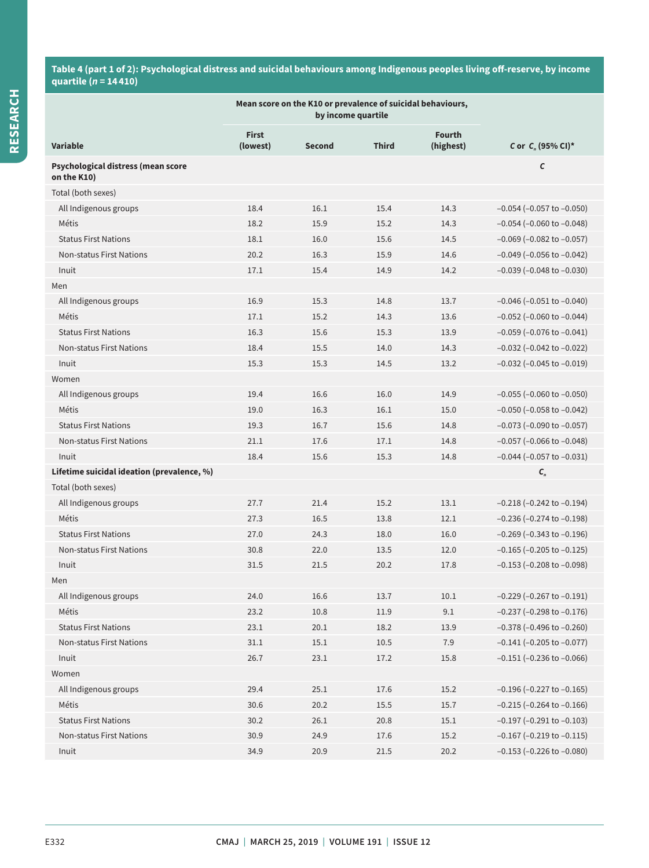## **Table 4 (part 1 of 2): Psychological distress and suicidal behaviours among Indigenous peoples living off-reserve, by income quartile (***n* **= 14 410)**

|                                                   | Mean score on the K10 or prevalence of suicidal behaviours, |        |              |                            |                                   |
|---------------------------------------------------|-------------------------------------------------------------|--------|--------------|----------------------------|-----------------------------------|
| <b>Variable</b>                                   | <b>First</b><br>(lowest)                                    | Second | <b>Third</b> | <b>Fourth</b><br>(highest) | C or $C_n$ (95% CI)*              |
| Psychological distress (mean score<br>on the K10) |                                                             |        |              |                            | C                                 |
| Total (both sexes)                                |                                                             |        |              |                            |                                   |
| All Indigenous groups                             | 18.4                                                        | 16.1   | 15.4         | 14.3                       | $-0.054$ ( $-0.057$ to $-0.050$ ) |
| Métis                                             | 18.2                                                        | 15.9   | 15.2         | 14.3                       | $-0.054$ ( $-0.060$ to $-0.048$ ) |
| <b>Status First Nations</b>                       | 18.1                                                        | 16.0   | 15.6         | 14.5                       | $-0.069$ ( $-0.082$ to $-0.057$ ) |
| <b>Non-status First Nations</b>                   | 20.2                                                        | 16.3   | 15.9         | 14.6                       | $-0.049$ ( $-0.056$ to $-0.042$ ) |
| Inuit                                             | 17.1                                                        | 15.4   | 14.9         | 14.2                       | $-0.039$ ( $-0.048$ to $-0.030$ ) |
| Men                                               |                                                             |        |              |                            |                                   |
| All Indigenous groups                             | 16.9                                                        | 15.3   | 14.8         | 13.7                       | $-0.046$ ( $-0.051$ to $-0.040$ ) |
| Métis                                             | 17.1                                                        | 15.2   | 14.3         | 13.6                       | $-0.052$ ( $-0.060$ to $-0.044$ ) |
| <b>Status First Nations</b>                       | 16.3                                                        | 15.6   | 15.3         | 13.9                       | $-0.059$ ( $-0.076$ to $-0.041$ ) |
| <b>Non-status First Nations</b>                   | 18.4                                                        | 15.5   | 14.0         | 14.3                       | $-0.032$ ( $-0.042$ to $-0.022$ ) |
| Inuit                                             | 15.3                                                        | 15.3   | 14.5         | 13.2                       | $-0.032$ ( $-0.045$ to $-0.019$ ) |
| Women                                             |                                                             |        |              |                            |                                   |
| All Indigenous groups                             | 19.4                                                        | 16.6   | 16.0         | 14.9                       | $-0.055$ ( $-0.060$ to $-0.050$ ) |
| Métis                                             | 19.0                                                        | 16.3   | 16.1         | 15.0                       | $-0.050$ ( $-0.058$ to $-0.042$ ) |
| <b>Status First Nations</b>                       | 19.3                                                        | 16.7   | 15.6         | 14.8                       | $-0.073$ ( $-0.090$ to $-0.057$ ) |
| <b>Non-status First Nations</b>                   | 21.1                                                        | 17.6   | 17.1         | 14.8                       | $-0.057$ ( $-0.066$ to $-0.048$ ) |
| Inuit                                             | 18.4                                                        | 15.6   | 15.3         | 14.8                       | $-0.044$ ( $-0.057$ to $-0.031$ ) |
| Lifetime suicidal ideation (prevalence, %)        |                                                             |        |              |                            | $C_n$                             |
| Total (both sexes)                                |                                                             |        |              |                            |                                   |
| All Indigenous groups                             | 27.7                                                        | 21.4   | 15.2         | 13.1                       | $-0.218$ ( $-0.242$ to $-0.194$ ) |
| Métis                                             | 27.3                                                        | 16.5   | 13.8         | 12.1                       | $-0.236$ ( $-0.274$ to $-0.198$ ) |
| <b>Status First Nations</b>                       | 27.0                                                        | 24.3   | 18.0         | 16.0                       | $-0.269$ ( $-0.343$ to $-0.196$ ) |
| <b>Non-status First Nations</b>                   | 30.8                                                        | 22.0   | 13.5         | 12.0                       | $-0.165$ ( $-0.205$ to $-0.125$ ) |
| Inuit                                             | 31.5                                                        | 21.5   | 20.2         | 17.8                       | $-0.153$ ( $-0.208$ to $-0.098$ ) |
| Men                                               |                                                             |        |              |                            |                                   |
| All Indigenous groups                             | 24.0                                                        | 16.6   | 13.7         | 10.1                       | $-0.229$ ( $-0.267$ to $-0.191$ ) |
| Métis                                             | 23.2                                                        | 10.8   | 11.9         | 9.1                        | $-0.237$ ( $-0.298$ to $-0.176$ ) |
| <b>Status First Nations</b>                       | 23.1                                                        | 20.1   | 18.2         | 13.9                       | $-0.378$ ( $-0.496$ to $-0.260$ ) |
| Non-status First Nations                          | $31.1\,$                                                    | 15.1   | 10.5         | 7.9                        | $-0.141$ ( $-0.205$ to $-0.077$ ) |
| Inuit                                             | 26.7                                                        | 23.1   | 17.2         | 15.8                       | $-0.151$ ( $-0.236$ to $-0.066$ ) |
| Women                                             |                                                             |        |              |                            |                                   |
| All Indigenous groups                             | 29.4                                                        | 25.1   | 17.6         | 15.2                       | $-0.196$ ( $-0.227$ to $-0.165$ ) |
| Métis                                             | 30.6                                                        | 20.2   | 15.5         | 15.7                       | $-0.215$ ( $-0.264$ to $-0.166$ ) |
| <b>Status First Nations</b>                       | 30.2                                                        | 26.1   | 20.8         | 15.1                       | $-0.197$ ( $-0.291$ to $-0.103$ ) |
| Non-status First Nations                          | 30.9                                                        | 24.9   | 17.6         | 15.2                       | $-0.167$ ( $-0.219$ to $-0.115$ ) |
| Inuit                                             | 34.9                                                        | 20.9   | 21.5         | 20.2                       | $-0.153$ ( $-0.226$ to $-0.080$ ) |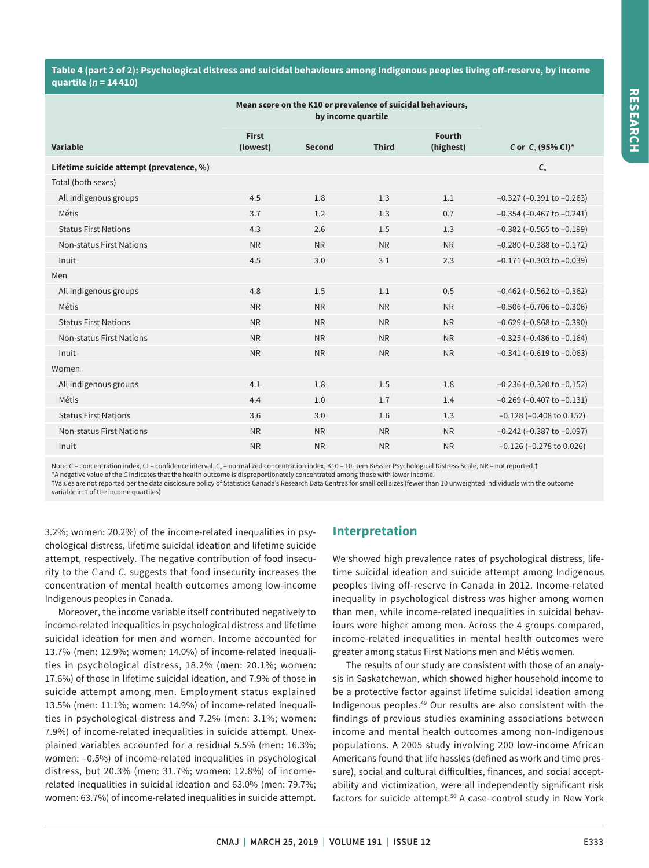## **Table 4 (part 2 of 2): Psychological distress and suicidal behaviours among Indigenous peoples living off-reserve, by income quartile (***n* **= 14 410)**

|                                          | Mean score on the K10 or prevalence of suicidal behaviours, |               |              |                            |                                   |
|------------------------------------------|-------------------------------------------------------------|---------------|--------------|----------------------------|-----------------------------------|
| Variable                                 | <b>First</b><br>(lowest)                                    | <b>Second</b> | <b>Third</b> | <b>Fourth</b><br>(highest) | C or C <sub>n</sub> (95% CI)*     |
| Lifetime suicide attempt (prevalence, %) |                                                             |               |              |                            | $C_{n}$                           |
| Total (both sexes)                       |                                                             |               |              |                            |                                   |
| All Indigenous groups                    | 4.5                                                         | 1.8           | 1.3          | 1.1                        | $-0.327$ ( $-0.391$ to $-0.263$ ) |
| Métis                                    | 3.7                                                         | 1.2           | 1.3          | 0.7                        | $-0.354$ ( $-0.467$ to $-0.241$ ) |
| <b>Status First Nations</b>              | 4.3                                                         | 2.6           | 1.5          | 1.3                        | $-0.382$ ( $-0.565$ to $-0.199$ ) |
| <b>Non-status First Nations</b>          | <b>NR</b>                                                   | <b>NR</b>     | <b>NR</b>    | <b>NR</b>                  | $-0.280$ ( $-0.388$ to $-0.172$ ) |
| Inuit                                    | 4.5                                                         | 3.0           | 3.1          | 2.3                        | $-0.171$ ( $-0.303$ to $-0.039$ ) |
| Men                                      |                                                             |               |              |                            |                                   |
| All Indigenous groups                    | 4.8                                                         | 1.5           | 1.1          | 0.5                        | $-0.462$ ( $-0.562$ to $-0.362$ ) |
| Métis                                    | <b>NR</b>                                                   | <b>NR</b>     | <b>NR</b>    | <b>NR</b>                  | $-0.506$ ( $-0.706$ to $-0.306$ ) |
| <b>Status First Nations</b>              | <b>NR</b>                                                   | <b>NR</b>     | <b>NR</b>    | <b>NR</b>                  | $-0.629$ ( $-0.868$ to $-0.390$ ) |
| <b>Non-status First Nations</b>          | <b>NR</b>                                                   | <b>NR</b>     | <b>NR</b>    | <b>NR</b>                  | $-0.325$ ( $-0.486$ to $-0.164$ ) |
| Inuit                                    | <b>NR</b>                                                   | <b>NR</b>     | <b>NR</b>    | <b>NR</b>                  | $-0.341$ ( $-0.619$ to $-0.063$ ) |
| Women                                    |                                                             |               |              |                            |                                   |
| All Indigenous groups                    | 4.1                                                         | 1.8           | 1.5          | 1.8                        | $-0.236$ ( $-0.320$ to $-0.152$ ) |
| Métis                                    | 4.4                                                         | 1.0           | 1.7          | 1.4                        | $-0.269$ ( $-0.407$ to $-0.131$ ) |
| <b>Status First Nations</b>              | 3.6                                                         | 3.0           | 1.6          | 1.3                        | $-0.128$ ( $-0.408$ to 0.152)     |
| <b>Non-status First Nations</b>          | <b>NR</b>                                                   | <b>NR</b>     | <b>NR</b>    | <b>NR</b>                  | $-0.242$ ( $-0.387$ to $-0.097$ ) |
| Inuit                                    | <b>NR</b>                                                   | <b>NR</b>     | <b>NR</b>    | <b>NR</b>                  | $-0.126$ ( $-0.278$ to 0.026)     |
|                                          |                                                             |               |              |                            |                                   |

Note: C = concentration index, CI = confidence interval, C<sub>n</sub> = normalized concentration index, K10 = 10-item Kessler Psychological Distress Scale, NR = not reported.†

\*A negative value of the *C* indicates that the health outcome is disproportionately concentrated among those with lower income.

†Values are not reported per the data disclosure policy of Statistics Canada's Research Data Centres for small cell sizes (fewer than 10 unweighted individuals with the outcome variable in 1 of the income quartiles).

3.2%; women: 20.2%) of the income-related inequalities in psychological distress, lifetime suicidal ideation and lifetime suicide attempt, respectively. The negative contribution of food insecurity to the *C* and *C<sub>n</sub>* suggests that food insecurity increases the concentration of mental health outcomes among low-income Indigenous peoples in Canada.

Moreover, the income variable itself contributed negatively to income-related inequalities in psychological distress and lifetime suicidal ideation for men and women. Income accounted for 13.7% (men: 12.9%; women: 14.0%) of income-related inequalities in psychological distress, 18.2% (men: 20.1%; women: 17.6%) of those in lifetime suicidal ideation, and 7.9% of those in suicide attempt among men. Employment status explained 13.5% (men: 11.1%; women: 14.9%) of income-related inequalities in psychological distress and 7.2% (men: 3.1%; women: 7.9%) of income-related inequalities in suicide attempt. Unexplained variables accounted for a residual 5.5% (men: 16.3%; women: –0.5%) of income-related inequalities in psychological distress, but 20.3% (men: 31.7%; women: 12.8%) of incomerelated inequalities in suicidal ideation and 63.0% (men: 79.7%; women: 63.7%) of income-related inequalities in suicide attempt.

## **Interpretation**

We showed high prevalence rates of psychological distress, lifetime suicidal ideation and suicide attempt among Indigenous peoples living off-reserve in Canada in 2012. Income-related inequality in psychological distress was higher among women than men, while income-related inequalities in suicidal behaviours were higher among men. Across the 4 groups compared, income-related inequalities in mental health outcomes were greater among status First Nations men and Métis women.

The results of our study are consistent with those of an analysis in Saskatchewan, which showed higher household income to be a protective factor against lifetime suicidal ideation among Indigenous peoples.49 Our results are also consistent with the findings of previous studies examining associations between income and mental health outcomes among non-Indigenous populations. A 2005 study involving 200 low-income African Americans found that life hassles (defined as work and time pressure), social and cultural difficulties, finances, and social acceptability and victimization, were all independently significant risk factors for suicide attempt.<sup>50</sup> A case-control study in New York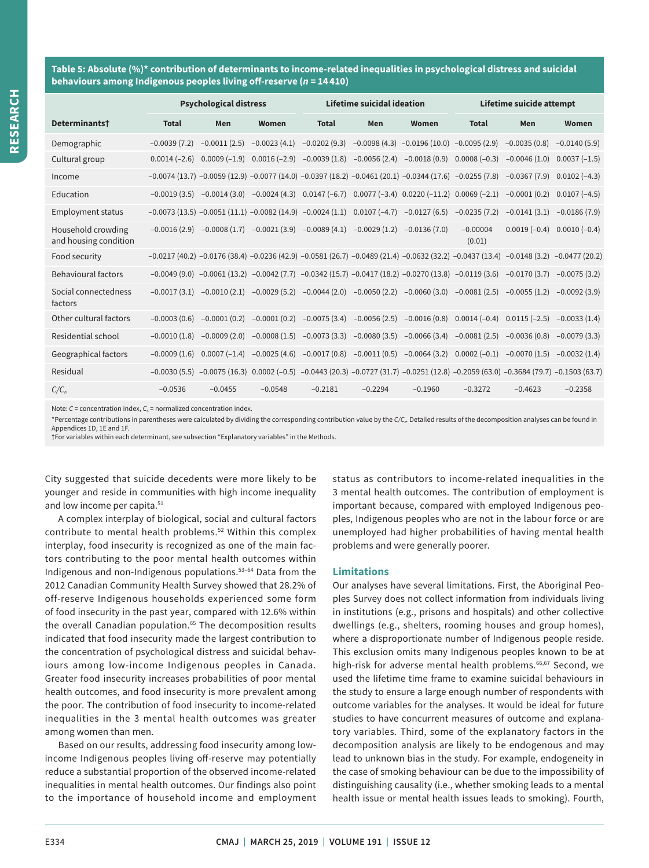**Table 5: Absolute (%)\* contribution of determinants to income-related inequalities in psychological distress and suicidal behaviours among Indigenous peoples living off-reserve (***n* **= 14 410)**

|                                             |                                                          | <b>Psychological distress</b> |                |                | Lifetime suicidal ideation |                                                                                                                                                         | Lifetime suicide attempt |                |                |  |
|---------------------------------------------|----------------------------------------------------------|-------------------------------|----------------|----------------|----------------------------|---------------------------------------------------------------------------------------------------------------------------------------------------------|--------------------------|----------------|----------------|--|
| Determinants <sup>†</sup>                   | <b>Total</b>                                             | Men                           | Women          | <b>Total</b>   | Men                        | Women                                                                                                                                                   | <b>Total</b>             | Men            | Women          |  |
| Demographic                                 | $-0.0039(7.2)$                                           | $-0.0011(2.5)$                | $-0.0023(4.1)$ | $-0.0202(9.3)$ |                            | $-0.0098(4.3)$ $-0.0196(10.0)$ $-0.0095(2.9)$                                                                                                           |                          | $-0.0035(0.8)$ | $-0.0140(5.9)$ |  |
| Cultural group                              | $0.0014(-2.6)$                                           | $0.0009(-1.9)$                | $0.0016(-2.9)$ | $-0.0039(1.8)$ |                            | $-0.0056(2.4)$ $-0.0018(0.9)$                                                                                                                           | $0.0008(-0.3)$           | $-0.0046(1.0)$ | $0.0037(-1.5)$ |  |
| Income                                      |                                                          |                               |                |                |                            | $-0.0074$ (13.7) $-0.0059$ (12.9) $-0.0077$ (14.0) $-0.0397$ (18.2) $-0.0461$ (20.1) $-0.0344$ (17.6) $-0.0255$ (7.8)                                   |                          | $-0.0367(7.9)$ | $0.0102(-4.3)$ |  |
| Education                                   | $-0.0019(3.5)$                                           | $-0.0014(3.0)$                | $-0.0024(4.3)$ | $0.0147(-6.7)$ |                            | $0.0077 (-3.4) 0.0220 (-11.2)$                                                                                                                          | $0.0069(-2.1)$           | $-0.0001(0.2)$ | $0.0107(-4.5)$ |  |
| <b>Employment status</b>                    | $-0.0073(13.5) -0.0051(11.1) -0.0082(14.9) -0.0024(1.1)$ |                               |                |                | $0.0107(-4.7)$             | $-0.0127(6.5)$                                                                                                                                          | $-0.0235(7.2)$           | $-0.0141(3.1)$ | $-0.0186(7.9)$ |  |
| Household crowding<br>and housing condition | $-0.0016(2.9)$                                           | $-0.0008(1.7)$                | $-0.0021(3.9)$ | $-0.0089(4.1)$ | $-0.0029(1.2)$             | $-0.0136(7.0)$                                                                                                                                          | $-0.00004$<br>(0.01)     | $0.0019(-0.4)$ | $0.0010(-0.4)$ |  |
| Food security                               |                                                          |                               |                |                |                            | $-0.0217$ (40.2) $-0.0176$ (38.4) $-0.0236$ (42.9) $-0.0581$ (26.7) $-0.0489$ (21.4) $-0.0632$ (32.2) $-0.0437$ (13.4) $-0.0148$ (3.2) $-0.0477$ (20.2) |                          |                |                |  |
| <b>Behavioural factors</b>                  |                                                          |                               |                |                |                            | $-0.0049$ (9.0) $-0.0061$ (13.2) $-0.0042$ (7.7) $-0.0342$ (15.7) $-0.0417$ (18.2) $-0.0270$ (13.8) $-0.0119$ (3.6)                                     |                          | $-0.0170(3.7)$ | $-0.0075(3.2)$ |  |
| Social connectedness<br>factors             | $-0.0017(3.1)$                                           | $-0.0010(2.1)$                | $-0.0029(5.2)$ | $-0.0044(2.0)$ | $-0.0050(2.2)$             | $-0.0060(3.0)$                                                                                                                                          | $-0.0081(2.5)$           | $-0.0055(1.2)$ | $-0.0092(3.9)$ |  |
| Other cultural factors                      | $-0.0003(0.6)$                                           | $-0.0001(0.2)$                | $-0.0001(0.2)$ | $-0.0075(3.4)$ | $-0.0056(2.5)$             | $-0.0016(0.8)$                                                                                                                                          | $0.0014(-0.4)$           | $0.0115(-2.5)$ | $-0.0033(1.4)$ |  |
| Residential school                          | $-0.0010(1.8)$                                           | $-0.0009(2.0)$                | $-0.0008(1.5)$ | $-0.0073(3.3)$ | $-0.0080(3.5)$             | $-0.0066(3.4)$                                                                                                                                          | $-0.0081(2.5)$           | $-0.0036(0.8)$ | $-0.0079(3.3)$ |  |
| Geographical factors                        | $-0.0009(1.6)$                                           | $0.0007(-1.4)$                | $-0.0025(4.6)$ | $-0.0017(0.8)$ |                            | $-0.0011(0.5)$ $-0.0064(3.2)$                                                                                                                           | $0.0002(-0.1)$           | $-0.0070(1.5)$ | $-0.0032(1.4)$ |  |
| Residual                                    |                                                          |                               |                |                |                            | $-0.0030$ (5.5) $-0.0075$ (16.3) $0.0002$ (-0.5) $-0.0443$ (20.3) $-0.0727$ (31.7) $-0.0251$ (12.8) $-0.2059$ (63.0) $-0.3684$ (79.7) $-0.1503$ (63.7)  |                          |                |                |  |
| $C/C_n$                                     | $-0.0536$                                                | $-0.0455$                     | $-0.0548$      | $-0.2181$      | $-0.2294$                  | $-0.1960$                                                                                                                                               | $-0.3272$                | $-0.4623$      | $-0.2358$      |  |

Note: *C* = concentration index, *C<sub>n</sub>* = normalized concentration index.

\*Percentage contributions in parentheses were calculated by dividing the corresponding contribution value by the *C/C<sub>n</sub>*. Detailed results of the decomposition analyses can be found in Appendices 1D, 1E and 1F.

†For variables within each determinant, see subsection "Explanatory variables" in the Methods.

City suggested that suicide decedents were more likely to be younger and reside in communities with high income inequality and low income per capita.<sup>51</sup>

A complex interplay of biological, social and cultural factors contribute to mental health problems.<sup>52</sup> Within this complex interplay, food insecurity is recognized as one of the main factors contributing to the poor mental health outcomes within Indigenous and non-Indigenous populations.53–64 Data from the 2012 Canadian Community Health Survey showed that 28.2% of off-reserve Indigenous households experienced some form of food insecurity in the past year, compared with 12.6% within the overall Canadian population.<sup>65</sup> The decomposition results indicated that food insecurity made the largest contribution to the concentration of psychological distress and suicidal behaviours among low-income Indigenous peoples in Canada. Greater food insecurity increases probabilities of poor mental health outcomes, and food insecurity is more prevalent among the poor. The contribution of food insecurity to income-related inequalities in the 3 mental health outcomes was greater among women than men.

Based on our results, addressing food insecurity among lowincome Indigenous peoples living off-reserve may potentially reduce a substantial proportion of the observed income-related inequalities in mental health outcomes. Our findings also point to the importance of household income and employment status as contributors to income-related inequalities in the 3 mental health outcomes. The contribution of employment is important because, compared with employed Indigenous peoples, Indigenous peoples who are not in the labour force or are unemployed had higher probabilities of having mental health problems and were generally poorer.

#### **Limitations**

Our analyses have several limitations. First, the Aboriginal Peoples Survey does not collect information from individuals living in institutions (e.g., prisons and hospitals) and other collective dwellings (e.g., shelters, rooming houses and group homes), where a disproportionate number of Indigenous people reside. This exclusion omits many Indigenous peoples known to be at high-risk for adverse mental health problems.<sup>66,67</sup> Second, we used the lifetime time frame to examine suicidal behaviours in the study to ensure a large enough number of respondents with outcome variables for the analyses. It would be ideal for future studies to have concurrent measures of outcome and explanatory variables. Third, some of the explanatory factors in the decomposition analysis are likely to be endogenous and may lead to unknown bias in the study. For example, endogeneity in the case of smoking behaviour can be due to the impossibility of distinguishing causality (i.e., whether smoking leads to a mental health issue or mental health issues leads to smoking). Fourth,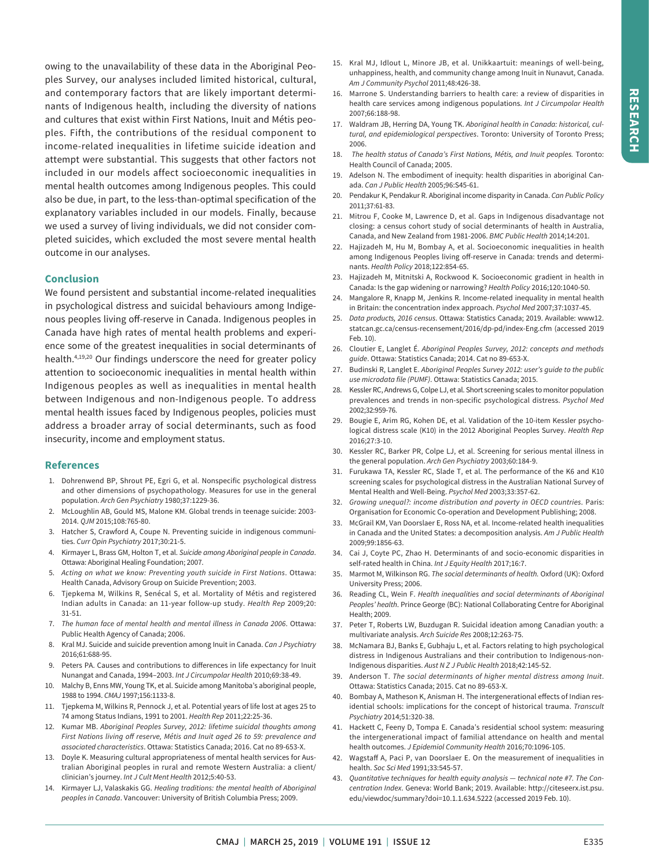owing to the unavailability of these data in the Aboriginal Peoples Survey, our analyses included limited historical, cultural, and contemporary factors that are likely important determinants of Indigenous health, including the diversity of nations and cultures that exist within First Nations, Inuit and Métis peoples. Fifth, the contributions of the residual component to income-related inequalities in lifetime suicide ideation and attempt were substantial. This suggests that other factors not included in our models affect socioeconomic inequalities in mental health outcomes among Indigenous peoples. This could also be due, in part, to the less-than-optimal specification of the explanatory variables included in our models. Finally, because we used a survey of living individuals, we did not consider completed suicides, which excluded the most severe mental health outcome in our analyses.

## **Conclusion**

We found persistent and substantial income-related inequalities in psychological distress and suicidal behaviours among Indigenous peoples living off-reserve in Canada. Indigenous peoples in Canada have high rates of mental health problems and experience some of the greatest inequalities in social determinants of health.4,19,20 Our findings underscore the need for greater policy attention to socioeconomic inequalities in mental health within Indigenous peoples as well as inequalities in mental health between Indigenous and non-Indigenous people. To address mental health issues faced by Indigenous peoples, policies must address a broader array of social determinants, such as food insecurity, income and employment status.

#### **References**

- 1. Dohrenwend BP, Shrout PE, Egri G, et al. Nonspecific psychological distress and other dimensions of psychopathology. Measures for use in the general population. *Arch Gen Psychiatry* 1980;37:1229-36.
- 2. McLoughlin AB, Gould MS, Malone KM. Global trends in teenage suicide: 2003- 2014. *QJM* 2015;108:765-80.
- 3. Hatcher S, Crawford A, Coupe N. Preventing suicide in indigenous communities. *Curr Opin Psychiatry* 2017;30:21-5.
- 4. Kirmayer L, Brass GM, Holton T, et al. *Suicide among Aboriginal people in Canada*. Ottawa: Aboriginal Healing Foundation; 2007.
- 5. *Acting on what we know: Preventing youth suicide in First Nations*. Ottawa: Health Canada, Advisory Group on Suicide Prevention; 2003.
- 6. Tjepkema M, Wilkins R, Senécal S, et al. Mortality of Métis and registered Indian adults in Canada: an 11-year follow-up study. *Health Rep* 2009;20: 31-51.
- 7. *The human face of mental health and mental illness in Canada 2006*. Ottawa: Public Health Agency of Canada; 2006.
- 8. Kral MJ. Suicide and suicide prevention among Inuit in Canada. *Can J Psychiatry* 2016;61:688-95.
- 9. Peters PA. Causes and contributions to differences in life expectancy for Inuit Nunangat and Canada, 1994–2003. *Int J Circumpolar Health* 2010;69:38-49.
- 10. Malchy B, Enns MW, Young TK, et al. Suicide among Manitoba's aboriginal people, 1988 to 1994. *CMAJ* 1997;156:1133-8.
- 11. Tjepkema M, Wilkins R, Pennock J, et al. Potential years of life lost at ages 25 to 74 among Status Indians, 1991 to 2001. *Health Rep* 2011;22:25-36.
- 12. Kumar MB. *Aboriginal Peoples Survey, 2012: lifetime suicidal thoughts among First Nations living off reserve, Métis and Inuit aged 26 to 59: prevalence and associated characteristics*. Ottawa: Statistics Canada; 2016. Cat no 89-653-X.
- 13. Doyle K. Measuring cultural appropriateness of mental health services for Australian Aboriginal peoples in rural and remote Western Australia: a client/ clinician's journey. *Int J Cult Ment Health* 2012;5:40-53.
- 14. Kirmayer LJ, Valaskakis GG. *Healing traditions: the mental health of Aboriginal peoples in Canada*. Vancouver: University of British Columbia Press; 2009.
- 15. Kral MJ, Idlout L, Minore JB, et al. Unikkaartuit: meanings of well-being, unhappiness, health, and community change among Inuit in Nunavut, Canada. *Am J Community Psychol* 2011;48:426-38.
- 16. Marrone S. Understanding barriers to health care: a review of disparities in health care services among indigenous populations. *Int J Circumpolar Health* 2007;66:188-98.
- 17. Waldram JB, Herring DA, Young TK. *Aboriginal health in Canada: historical, cultural, and epidemiological perspectives*. Toronto: University of Toronto Press; 2006.
- 18. *The health status of Canada's First Nations, Métis, and Inuit peoples.* Toronto: Health Council of Canada; 2005.
- 19. Adelson N. The embodiment of inequity: health disparities in aboriginal Canada. *Can J Public Health* 2005;96:S45-61.
- 20. Pendakur K, Pendakur R. Aboriginal income disparity in Canada. *Can Public Policy* 2011;37:61-83.
- 21. Mitrou F, Cooke M, Lawrence D, et al. Gaps in Indigenous disadvantage not closing: a census cohort study of social determinants of health in Australia, Canada, and New Zealand from 1981-2006. *BMC Public Health* 2014;14:201.
- 22. Hajizadeh M, Hu M, Bombay A, et al. Socioeconomic inequalities in health among Indigenous Peoples living off-reserve in Canada: trends and determinants. *Health Policy* 2018;122:854-65.
- 23. Hajizadeh M, Mitnitski A, Rockwood K. Socioeconomic gradient in health in Canada: Is the gap widening or narrowing? *Health Policy* 2016;120:1040-50.
- 24. Mangalore R, Knapp M, Jenkins R. Income-related inequality in mental health in Britain: the concentration index approach. *Psychol Med* 2007;37:1037-45.
- 25. *Data products, 2016 census*. Ottawa: Statistics Canada; 2019. Available: www12. statcan.gc.ca/census-recensement/2016/dp-pd/index-Eng.cfm (accessed 2019 Feb. 10).
- 26. Cloutier E, Langlet É. *Aboriginal Peoples Survey, 2012: concepts and methods guide*. Ottawa: Statistics Canada; 2014. Cat no 89-653-X.
- 27. Budinski R, Langlet E. *Aboriginal Peoples Survey 2012: user's guide to the public use microdata file (PUMF)*. Ottawa: Statistics Canada; 2015.
- 28. Kessler RC, Andrews G, Colpe LJ, et al. Short screening scales to monitor population prevalences and trends in non-specific psychological distress. *Psychol Med* 2002;32:959-76.
- 29. Bougie E, Arim RG, Kohen DE, et al. Validation of the 10-item Kessler psychological distress scale (K10) in the 2012 Aboriginal Peoples Survey. *Health Rep* 2016;27:3-10.
- 30. Kessler RC, Barker PR, Colpe LJ, et al. Screening for serious mental illness in the general population. *Arch Gen Psychiatry* 2003;60:184-9.
- 31. Furukawa TA, Kessler RC, Slade T, et al. The performance of the K6 and K10 screening scales for psychological distress in the Australian National Survey of Mental Health and Well-Being. *Psychol Med* 2003;33:357-62.
- 32. *Growing unequal?: income distribution and poverty in OECD countries*. Paris: Organisation for Economic Co-operation and Development Publishing; 2008.
- 33. McGrail KM, Van Doorslaer E, Ross NA, et al. Income-related health inequalities in Canada and the United States: a decomposition analysis. *Am J Public Health* 2009;99:1856-63.
- 34. Cai J, Coyte PC, Zhao H. Determinants of and socio-economic disparities in self-rated health in China. *Int J Equity Health* 2017;16:7.
- 35. Marmot M, Wilkinson RG. *The social determinants of health.* Oxford (UK): Oxford University Press; 2006.
- 36. Reading CL, Wein F. *Health inequalities and social determinants of Aboriginal Peoples' health*. Prince George (BC): National Collaborating Centre for Aboriginal Health; 2009.
- 37. Peter T, Roberts LW, Buzdugan R. Suicidal ideation among Canadian youth: a multivariate analysis. *Arch Suicide Res* 2008;12:263-75.
- 38. McNamara BJ, Banks E, Gubhaju L, et al. Factors relating to high psychological distress in Indigenous Australians and their contribution to Indigenous-non-Indigenous disparities. *Aust N Z J Public Health* 2018;42:145-52.
- 39. Anderson T. *The social determinants of higher mental distress among Inuit*. Ottawa: Statistics Canada; 2015. Cat no 89-653-X.
- 40. Bombay A, Matheson K, Anisman H. The intergenerational effects of Indian residential schools: implications for the concept of historical trauma. *Transcult Psychiatry* 2014;51:320-38.
- 41. Hackett C, Feeny D, Tompa E. Canada's residential school system: measuring the intergenerational impact of familial attendance on health and mental health outcomes. *J Epidemiol Community Health* 2016;70:1096-105.
- 42. Wagstaff A, Paci P, van Doorslaer E. On the measurement of inequalities in health. *Soc Sci Med* 1991;33:545-57.
- 43. *Quantitative techniques for health equity analysis technical note #7. The Concentration Index*. Geneva: World Bank; 2019. Available: http://citeseerx.ist.psu. edu/viewdoc/summary?doi=10.1.1.634.5222 (accessed 2019 Feb. 10).